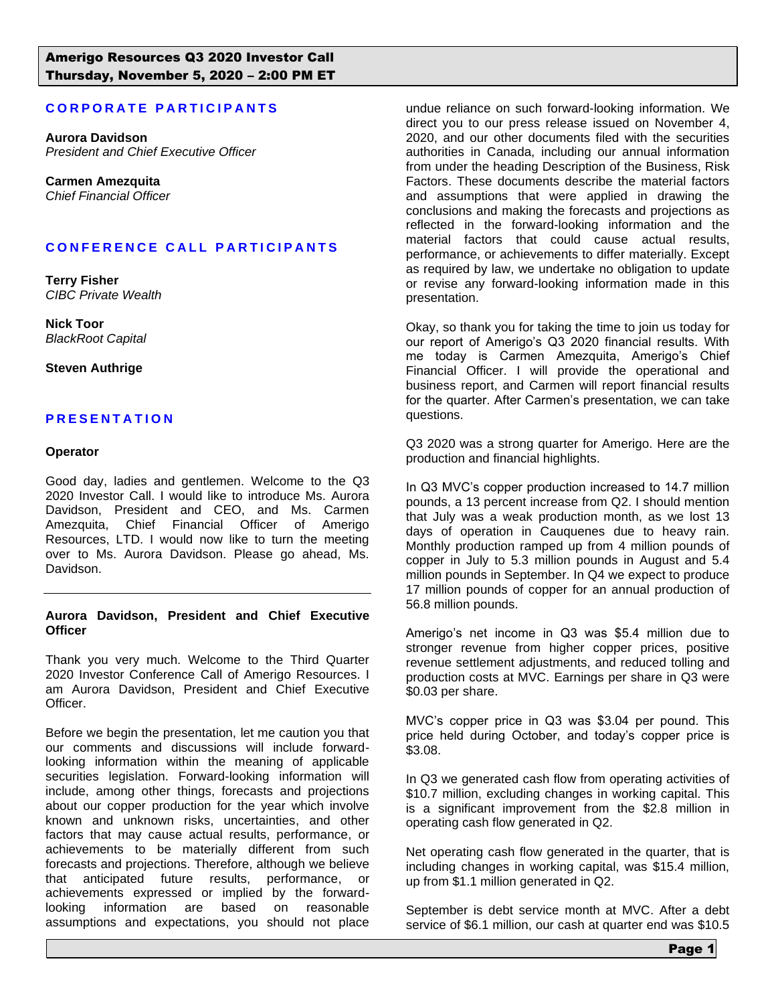# **CORPORATE PARTICIPANTS**

**Aurora Davidson** *President and Chief Executive Officer*

**Carmen Amezquita** *Chief Financial Officer*

# **C O N F E R E N C E C A L L P A R T I C I P A N T S**

**Terry Fisher** *CIBC Private Wealth*

**Nick Toor** *BlackRoot Capital*

#### **Steven Authrige**

# **P R E S E N T A T I O N**

#### **Operator**

Good day, ladies and gentlemen. Welcome to the Q3 2020 Investor Call. I would like to introduce Ms. Aurora Davidson, President and CEO, and Ms. Carmen Amezquita, Chief Financial Officer of Amerigo Resources, LTD. I would now like to turn the meeting over to Ms. Aurora Davidson. Please go ahead, Ms. Davidson.

#### **Aurora Davidson, President and Chief Executive Officer**

Thank you very much. Welcome to the Third Quarter 2020 Investor Conference Call of Amerigo Resources. I am Aurora Davidson, President and Chief Executive Officer.

Before we begin the presentation, let me caution you that our comments and discussions will include forwardlooking information within the meaning of applicable securities legislation. Forward-looking information will include, among other things, forecasts and projections about our copper production for the year which involve known and unknown risks, uncertainties, and other factors that may cause actual results, performance, or achievements to be materially different from such forecasts and projections. Therefore, although we believe that anticipated future results, performance, or achievements expressed or implied by the forwardlooking information are based on reasonable assumptions and expectations, you should not place

undue reliance on such forward-looking information. We direct you to our press release issued on November 4, 2020, and our other documents filed with the securities authorities in Canada, including our annual information from under the heading Description of the Business, Risk Factors. These documents describe the material factors and assumptions that were applied in drawing the conclusions and making the forecasts and projections as reflected in the forward-looking information and the material factors that could cause actual results, performance, or achievements to differ materially. Except as required by law, we undertake no obligation to update or revise any forward-looking information made in this presentation.

Okay, so thank you for taking the time to join us today for our report of Amerigo's Q3 2020 financial results. With me today is Carmen Amezquita, Amerigo's Chief Financial Officer. I will provide the operational and business report, and Carmen will report financial results for the quarter. After Carmen's presentation, we can take questions.

Q3 2020 was a strong quarter for Amerigo. Here are the production and financial highlights.

In Q3 MVC's copper production increased to 14.7 million pounds, a 13 percent increase from Q2. I should mention that July was a weak production month, as we lost 13 days of operation in Cauquenes due to heavy rain. Monthly production ramped up from 4 million pounds of copper in July to 5.3 million pounds in August and 5.4 million pounds in September. In Q4 we expect to produce 17 million pounds of copper for an annual production of 56.8 million pounds.

Amerigo's net income in Q3 was \$5.4 million due to stronger revenue from higher copper prices, positive revenue settlement adjustments, and reduced tolling and production costs at MVC. Earnings per share in Q3 were \$0.03 per share.

MVC's copper price in Q3 was \$3.04 per pound. This price held during October, and today's copper price is \$3.08.

In Q3 we generated cash flow from operating activities of \$10.7 million, excluding changes in working capital. This is a significant improvement from the \$2.8 million in operating cash flow generated in Q2.

Net operating cash flow generated in the quarter, that is including changes in working capital, was \$15.4 million, up from \$1.1 million generated in Q2.

September is debt service month at MVC. After a debt service of \$6.1 million, our cash at quarter end was \$10.5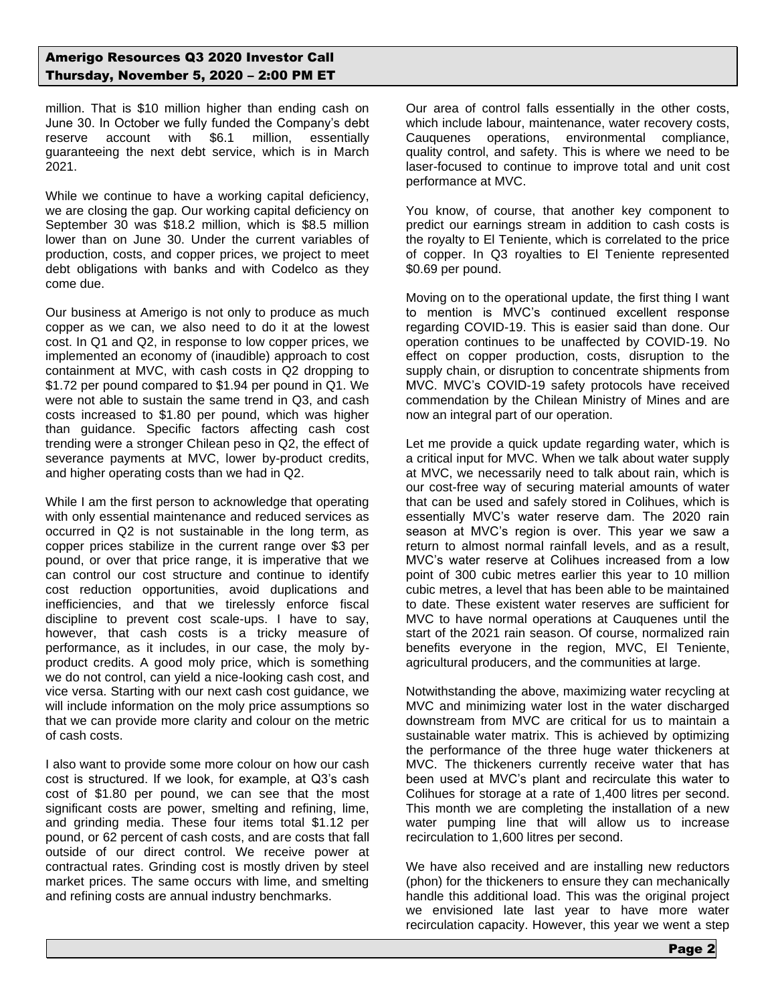million. That is \$10 million higher than ending cash on June 30. In October we fully funded the Company's debt reserve account with \$6.1 million, essentially guaranteeing the next debt service, which is in March 2021.

While we continue to have a working capital deficiency, we are closing the gap. Our working capital deficiency on September 30 was \$18.2 million, which is \$8.5 million lower than on June 30. Under the current variables of production, costs, and copper prices, we project to meet debt obligations with banks and with Codelco as they come due.

Our business at Amerigo is not only to produce as much copper as we can, we also need to do it at the lowest cost. In Q1 and Q2, in response to low copper prices, we implemented an economy of (inaudible) approach to cost containment at MVC, with cash costs in Q2 dropping to \$1.72 per pound compared to \$1.94 per pound in Q1. We were not able to sustain the same trend in Q3, and cash costs increased to \$1.80 per pound, which was higher than guidance. Specific factors affecting cash cost trending were a stronger Chilean peso in Q2, the effect of severance payments at MVC, lower by-product credits, and higher operating costs than we had in Q2.

While I am the first person to acknowledge that operating with only essential maintenance and reduced services as occurred in Q2 is not sustainable in the long term, as copper prices stabilize in the current range over \$3 per pound, or over that price range, it is imperative that we can control our cost structure and continue to identify cost reduction opportunities, avoid duplications and inefficiencies, and that we tirelessly enforce fiscal discipline to prevent cost scale-ups. I have to say, however, that cash costs is a tricky measure of performance, as it includes, in our case, the moly byproduct credits. A good moly price, which is something we do not control, can yield a nice-looking cash cost, and vice versa. Starting with our next cash cost guidance, we will include information on the moly price assumptions so that we can provide more clarity and colour on the metric of cash costs.

I also want to provide some more colour on how our cash cost is structured. If we look, for example, at Q3's cash cost of \$1.80 per pound, we can see that the most significant costs are power, smelting and refining, lime, and grinding media. These four items total \$1.12 per pound, or 62 percent of cash costs, and are costs that fall outside of our direct control. We receive power at contractual rates. Grinding cost is mostly driven by steel market prices. The same occurs with lime, and smelting and refining costs are annual industry benchmarks.

Our area of control falls essentially in the other costs, which include labour, maintenance, water recovery costs, Cauquenes operations, environmental compliance, quality control, and safety. This is where we need to be laser-focused to continue to improve total and unit cost performance at MVC.

You know, of course, that another key component to predict our earnings stream in addition to cash costs is the royalty to El Teniente, which is correlated to the price of copper. In Q3 royalties to El Teniente represented \$0.69 per pound.

Moving on to the operational update, the first thing I want to mention is MVC's continued excellent response regarding COVID-19. This is easier said than done. Our operation continues to be unaffected by COVID-19. No effect on copper production, costs, disruption to the supply chain, or disruption to concentrate shipments from MVC. MVC's COVID-19 safety protocols have received commendation by the Chilean Ministry of Mines and are now an integral part of our operation.

Let me provide a quick update regarding water, which is a critical input for MVC. When we talk about water supply at MVC, we necessarily need to talk about rain, which is our cost-free way of securing material amounts of water that can be used and safely stored in Colihues, which is essentially MVC's water reserve dam. The 2020 rain season at MVC's region is over. This year we saw a return to almost normal rainfall levels, and as a result, MVC's water reserve at Colihues increased from a low point of 300 cubic metres earlier this year to 10 million cubic metres, a level that has been able to be maintained to date. These existent water reserves are sufficient for MVC to have normal operations at Cauquenes until the start of the 2021 rain season. Of course, normalized rain benefits everyone in the region, MVC, El Teniente, agricultural producers, and the communities at large.

Notwithstanding the above, maximizing water recycling at MVC and minimizing water lost in the water discharged downstream from MVC are critical for us to maintain a sustainable water matrix. This is achieved by optimizing the performance of the three huge water thickeners at MVC. The thickeners currently receive water that has been used at MVC's plant and recirculate this water to Colihues for storage at a rate of 1,400 litres per second. This month we are completing the installation of a new water pumping line that will allow us to increase recirculation to 1,600 litres per second.

We have also received and are installing new reductors (phon) for the thickeners to ensure they can mechanically handle this additional load. This was the original project we envisioned late last year to have more water recirculation capacity. However, this year we went a step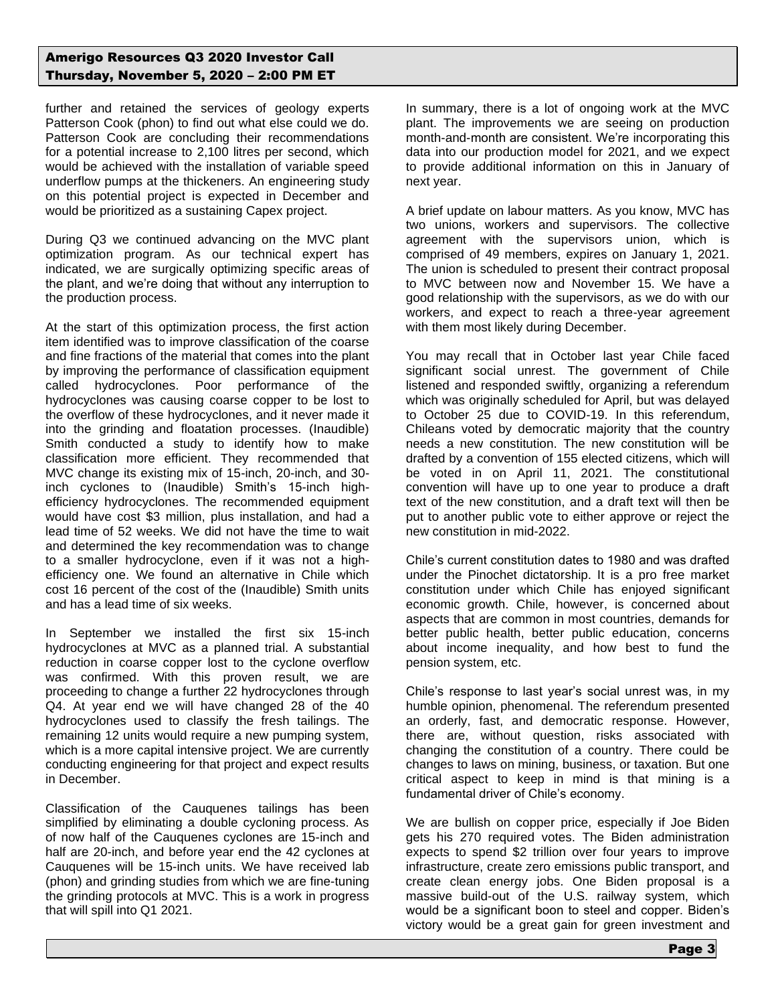further and retained the services of geology experts Patterson Cook (phon) to find out what else could we do. Patterson Cook are concluding their recommendations for a potential increase to 2,100 litres per second, which would be achieved with the installation of variable speed underflow pumps at the thickeners. An engineering study on this potential project is expected in December and would be prioritized as a sustaining Capex project.

During Q3 we continued advancing on the MVC plant optimization program. As our technical expert has indicated, we are surgically optimizing specific areas of the plant, and we're doing that without any interruption to the production process.

At the start of this optimization process, the first action item identified was to improve classification of the coarse and fine fractions of the material that comes into the plant by improving the performance of classification equipment called hydrocyclones. Poor performance of the hydrocyclones was causing coarse copper to be lost to the overflow of these hydrocyclones, and it never made it into the grinding and floatation processes. (Inaudible) Smith conducted a study to identify how to make classification more efficient. They recommended that MVC change its existing mix of 15-inch, 20-inch, and 30 inch cyclones to (Inaudible) Smith's 15-inch highefficiency hydrocyclones. The recommended equipment would have cost \$3 million, plus installation, and had a lead time of 52 weeks. We did not have the time to wait and determined the key recommendation was to change to a smaller hydrocyclone, even if it was not a highefficiency one. We found an alternative in Chile which cost 16 percent of the cost of the (Inaudible) Smith units and has a lead time of six weeks.

In September we installed the first six 15-inch hydrocyclones at MVC as a planned trial. A substantial reduction in coarse copper lost to the cyclone overflow was confirmed. With this proven result, we are proceeding to change a further 22 hydrocyclones through Q4. At year end we will have changed 28 of the 40 hydrocyclones used to classify the fresh tailings. The remaining 12 units would require a new pumping system, which is a more capital intensive project. We are currently conducting engineering for that project and expect results in December.

Classification of the Cauquenes tailings has been simplified by eliminating a double cycloning process. As of now half of the Cauquenes cyclones are 15-inch and half are 20-inch, and before year end the 42 cyclones at Cauquenes will be 15-inch units. We have received lab (phon) and grinding studies from which we are fine-tuning the grinding protocols at MVC. This is a work in progress that will spill into Q1 2021.

In summary, there is a lot of ongoing work at the MVC plant. The improvements we are seeing on production month-and-month are consistent. We're incorporating this data into our production model for 2021, and we expect to provide additional information on this in January of next year.

A brief update on labour matters. As you know, MVC has two unions, workers and supervisors. The collective agreement with the supervisors union, which is comprised of 49 members, expires on January 1, 2021. The union is scheduled to present their contract proposal to MVC between now and November 15. We have a good relationship with the supervisors, as we do with our workers, and expect to reach a three-year agreement with them most likely during December.

You may recall that in October last year Chile faced significant social unrest. The government of Chile listened and responded swiftly, organizing a referendum which was originally scheduled for April, but was delayed to October 25 due to COVID-19. In this referendum, Chileans voted by democratic majority that the country needs a new constitution. The new constitution will be drafted by a convention of 155 elected citizens, which will be voted in on April 11, 2021. The constitutional convention will have up to one year to produce a draft text of the new constitution, and a draft text will then be put to another public vote to either approve or reject the new constitution in mid-2022.

Chile's current constitution dates to 1980 and was drafted under the Pinochet dictatorship. It is a pro free market constitution under which Chile has enjoyed significant economic growth. Chile, however, is concerned about aspects that are common in most countries, demands for better public health, better public education, concerns about income inequality, and how best to fund the pension system, etc.

Chile's response to last year's social unrest was, in my humble opinion, phenomenal. The referendum presented an orderly, fast, and democratic response. However, there are, without question, risks associated with changing the constitution of a country. There could be changes to laws on mining, business, or taxation. But one critical aspect to keep in mind is that mining is a fundamental driver of Chile's economy.

We are bullish on copper price, especially if Joe Biden gets his 270 required votes. The Biden administration expects to spend \$2 trillion over four years to improve infrastructure, create zero emissions public transport, and create clean energy jobs. One Biden proposal is a massive build-out of the U.S. railway system, which would be a significant boon to steel and copper. Biden's victory would be a great gain for green investment and

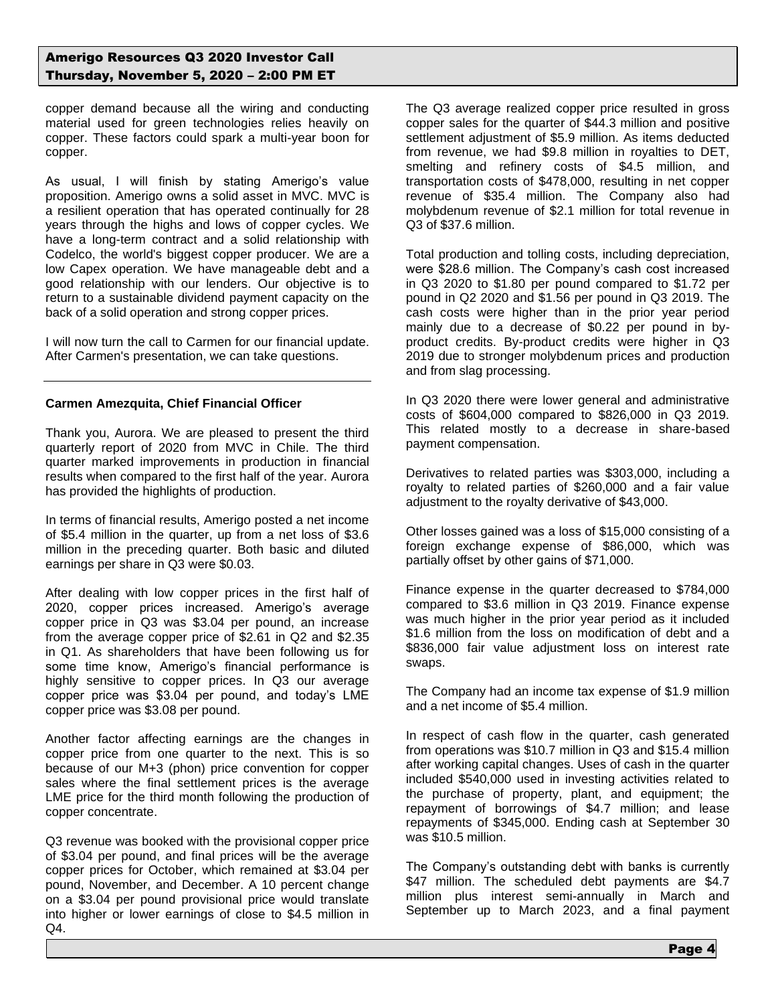copper demand because all the wiring and conducting material used for green technologies relies heavily on copper. These factors could spark a multi-year boon for copper.

As usual, I will finish by stating Amerigo's value proposition. Amerigo owns a solid asset in MVC. MVC is a resilient operation that has operated continually for 28 years through the highs and lows of copper cycles. We have a long-term contract and a solid relationship with Codelco, the world's biggest copper producer. We are a low Capex operation. We have manageable debt and a good relationship with our lenders. Our objective is to return to a sustainable dividend payment capacity on the back of a solid operation and strong copper prices.

I will now turn the call to Carmen for our financial update. After Carmen's presentation, we can take questions.

## **Carmen Amezquita, Chief Financial Officer**

Thank you, Aurora. We are pleased to present the third quarterly report of 2020 from MVC in Chile. The third quarter marked improvements in production in financial results when compared to the first half of the year. Aurora has provided the highlights of production.

In terms of financial results, Amerigo posted a net income of \$5.4 million in the quarter, up from a net loss of \$3.6 million in the preceding quarter. Both basic and diluted earnings per share in Q3 were \$0.03.

After dealing with low copper prices in the first half of 2020, copper prices increased. Amerigo's average copper price in Q3 was \$3.04 per pound, an increase from the average copper price of \$2.61 in Q2 and \$2.35 in Q1. As shareholders that have been following us for some time know, Amerigo's financial performance is highly sensitive to copper prices. In Q3 our average copper price was \$3.04 per pound, and today's LME copper price was \$3.08 per pound.

Another factor affecting earnings are the changes in copper price from one quarter to the next. This is so because of our M+3 (phon) price convention for copper sales where the final settlement prices is the average LME price for the third month following the production of copper concentrate.

Q3 revenue was booked with the provisional copper price of \$3.04 per pound, and final prices will be the average copper prices for October, which remained at \$3.04 per pound, November, and December. A 10 percent change on a \$3.04 per pound provisional price would translate into higher or lower earnings of close to \$4.5 million in Q4.

The Q3 average realized copper price resulted in gross copper sales for the quarter of \$44.3 million and positive settlement adjustment of \$5.9 million. As items deducted from revenue, we had \$9.8 million in royalties to DET, smelting and refinery costs of \$4.5 million, and transportation costs of \$478,000, resulting in net copper revenue of \$35.4 million. The Company also had molybdenum revenue of \$2.1 million for total revenue in Q3 of \$37.6 million.

Total production and tolling costs, including depreciation, were \$28.6 million. The Company's cash cost increased in Q3 2020 to \$1.80 per pound compared to \$1.72 per pound in Q2 2020 and \$1.56 per pound in Q3 2019. The cash costs were higher than in the prior year period mainly due to a decrease of \$0.22 per pound in byproduct credits. By-product credits were higher in Q3 2019 due to stronger molybdenum prices and production and from slag processing.

In Q3 2020 there were lower general and administrative costs of \$604,000 compared to \$826,000 in Q3 2019. This related mostly to a decrease in share-based payment compensation.

Derivatives to related parties was \$303,000, including a royalty to related parties of \$260,000 and a fair value adjustment to the royalty derivative of \$43,000.

Other losses gained was a loss of \$15,000 consisting of a foreign exchange expense of \$86,000, which was partially offset by other gains of \$71,000.

Finance expense in the quarter decreased to \$784,000 compared to \$3.6 million in Q3 2019. Finance expense was much higher in the prior year period as it included \$1.6 million from the loss on modification of debt and a \$836,000 fair value adjustment loss on interest rate swaps.

The Company had an income tax expense of \$1.9 million and a net income of \$5.4 million.

In respect of cash flow in the quarter, cash generated from operations was \$10.7 million in Q3 and \$15.4 million after working capital changes. Uses of cash in the quarter included \$540,000 used in investing activities related to the purchase of property, plant, and equipment; the repayment of borrowings of \$4.7 million; and lease repayments of \$345,000. Ending cash at September 30 was \$10.5 million.

The Company's outstanding debt with banks is currently \$47 million. The scheduled debt payments are \$4.7 million plus interest semi-annually in March and September up to March 2023, and a final payment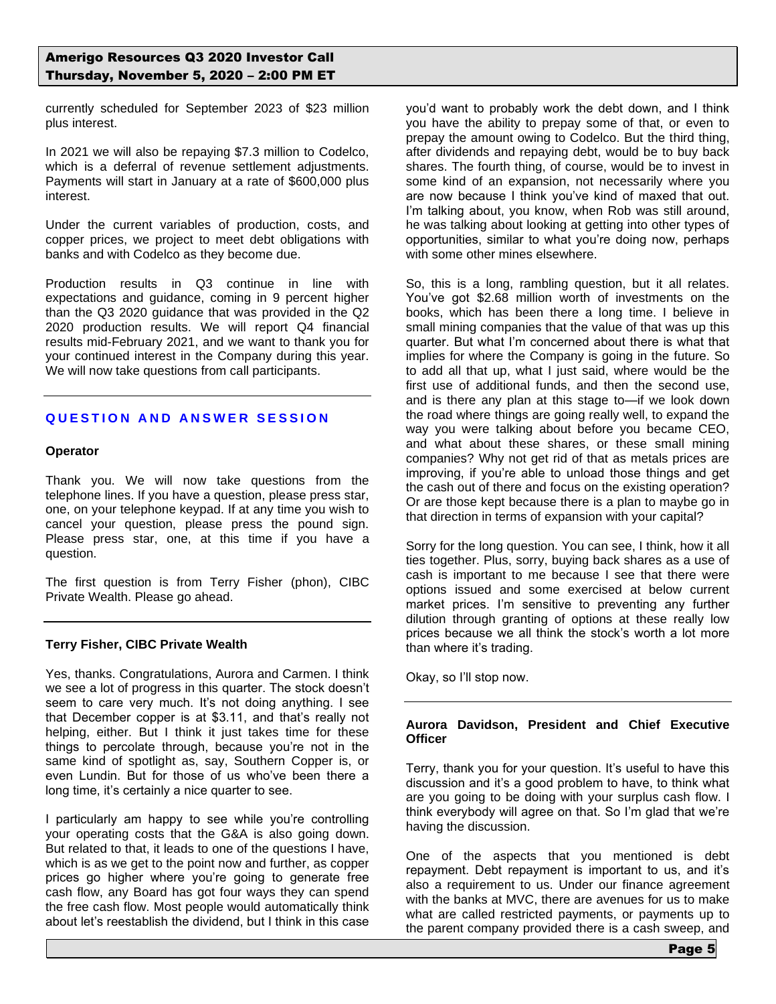currently scheduled for September 2023 of \$23 million plus interest.

In 2021 we will also be repaying \$7.3 million to Codelco, which is a deferral of revenue settlement adjustments. Payments will start in January at a rate of \$600,000 plus interest.

Under the current variables of production, costs, and copper prices, we project to meet debt obligations with banks and with Codelco as they become due.

Production results in Q3 continue in line with expectations and guidance, coming in 9 percent higher than the Q3 2020 guidance that was provided in the Q2 2020 production results. We will report Q4 financial results mid-February 2021, and we want to thank you for your continued interest in the Company during this year. We will now take questions from call participants.

# **QUESTION AND ANSWER SESSION**

#### **Operator**

Thank you. We will now take questions from the telephone lines. If you have a question, please press star, one, on your telephone keypad. If at any time you wish to cancel your question, please press the pound sign. Please press star, one, at this time if you have a question.

The first question is from Terry Fisher (phon), CIBC Private Wealth. Please go ahead.

### **Terry Fisher, CIBC Private Wealth**

Yes, thanks. Congratulations, Aurora and Carmen. I think we see a lot of progress in this quarter. The stock doesn't seem to care very much. It's not doing anything. I see that December copper is at \$3.11, and that's really not helping, either. But I think it just takes time for these things to percolate through, because you're not in the same kind of spotlight as, say, Southern Copper is, or even Lundin. But for those of us who've been there a long time, it's certainly a nice quarter to see.

I particularly am happy to see while you're controlling your operating costs that the G&A is also going down. But related to that, it leads to one of the questions I have, which is as we get to the point now and further, as copper prices go higher where you're going to generate free cash flow, any Board has got four ways they can spend the free cash flow. Most people would automatically think about let's reestablish the dividend, but I think in this case

you'd want to probably work the debt down, and I think you have the ability to prepay some of that, or even to prepay the amount owing to Codelco. But the third thing, after dividends and repaying debt, would be to buy back shares. The fourth thing, of course, would be to invest in some kind of an expansion, not necessarily where you are now because I think you've kind of maxed that out. I'm talking about, you know, when Rob was still around, he was talking about looking at getting into other types of opportunities, similar to what you're doing now, perhaps with some other mines elsewhere.

So, this is a long, rambling question, but it all relates. You've got \$2.68 million worth of investments on the books, which has been there a long time. I believe in small mining companies that the value of that was up this quarter. But what I'm concerned about there is what that implies for where the Company is going in the future. So to add all that up, what I just said, where would be the first use of additional funds, and then the second use, and is there any plan at this stage to—if we look down the road where things are going really well, to expand the way you were talking about before you became CEO, and what about these shares, or these small mining companies? Why not get rid of that as metals prices are improving, if you're able to unload those things and get the cash out of there and focus on the existing operation? Or are those kept because there is a plan to maybe go in that direction in terms of expansion with your capital?

Sorry for the long question. You can see, I think, how it all ties together. Plus, sorry, buying back shares as a use of cash is important to me because I see that there were options issued and some exercised at below current market prices. I'm sensitive to preventing any further dilution through granting of options at these really low prices because we all think the stock's worth a lot more than where it's trading.

Okay, so I'll stop now.

### **Aurora Davidson, President and Chief Executive Officer**

Terry, thank you for your question. It's useful to have this discussion and it's a good problem to have, to think what are you going to be doing with your surplus cash flow. I think everybody will agree on that. So I'm glad that we're having the discussion.

One of the aspects that you mentioned is debt repayment. Debt repayment is important to us, and it's also a requirement to us. Under our finance agreement with the banks at MVC, there are avenues for us to make what are called restricted payments, or payments up to the parent company provided there is a cash sweep, and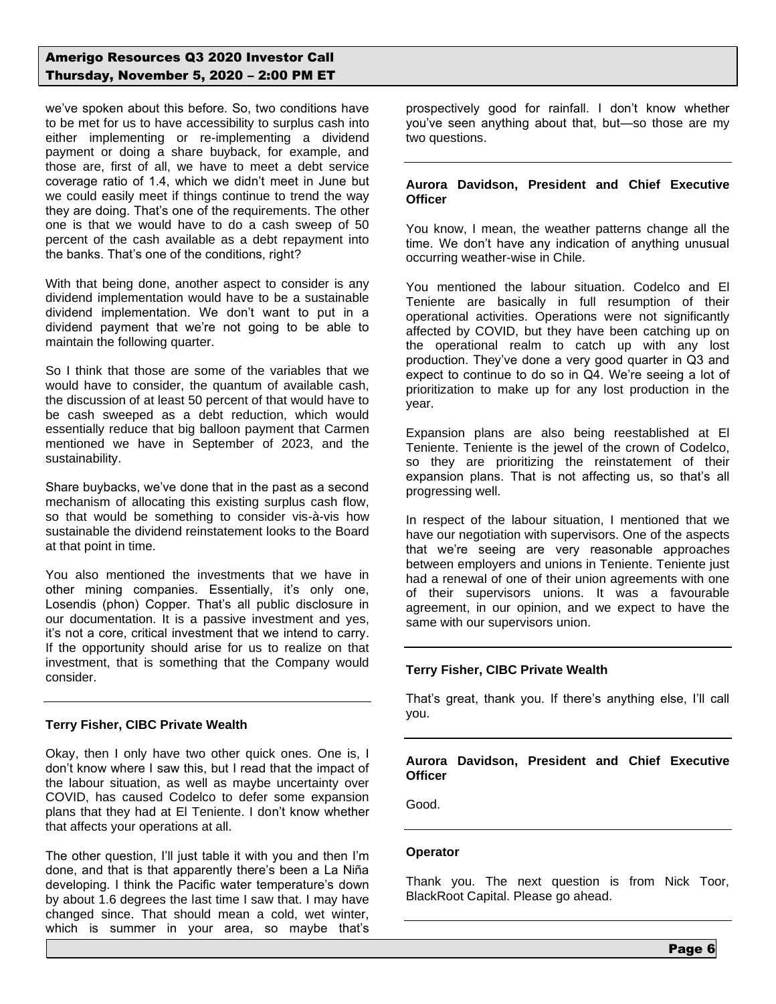# Amerigo Resources Q3 2020 Investor Call Thursday, November 5, 2020 – 2:00 PM ET

we've spoken about this before. So, two conditions have to be met for us to have accessibility to surplus cash into either implementing or re-implementing a dividend payment or doing a share buyback, for example, and those are, first of all, we have to meet a debt service coverage ratio of 1.4, which we didn't meet in June but we could easily meet if things continue to trend the way they are doing. That's one of the requirements. The other one is that we would have to do a cash sweep of 50 percent of the cash available as a debt repayment into the banks. That's one of the conditions, right?

With that being done, another aspect to consider is any dividend implementation would have to be a sustainable dividend implementation. We don't want to put in a dividend payment that we're not going to be able to maintain the following quarter.

So I think that those are some of the variables that we would have to consider, the quantum of available cash, the discussion of at least 50 percent of that would have to be cash sweeped as a debt reduction, which would essentially reduce that big balloon payment that Carmen mentioned we have in September of 2023, and the sustainability.

Share buybacks, we've done that in the past as a second mechanism of allocating this existing surplus cash flow, so that would be something to consider vis-à-vis how sustainable the dividend reinstatement looks to the Board at that point in time.

You also mentioned the investments that we have in other mining companies. Essentially, it's only one, Losendis (phon) Copper. That's all public disclosure in our documentation. It is a passive investment and yes, it's not a core, critical investment that we intend to carry. If the opportunity should arise for us to realize on that investment, that is something that the Company would consider.

### **Terry Fisher, CIBC Private Wealth**

Okay, then I only have two other quick ones. One is, I don't know where I saw this, but I read that the impact of the labour situation, as well as maybe uncertainty over COVID, has caused Codelco to defer some expansion plans that they had at El Teniente. I don't know whether that affects your operations at all.

The other question, I'll just table it with you and then I'm done, and that is that apparently there's been a La Niña developing. I think the Pacific water temperature's down by about 1.6 degrees the last time I saw that. I may have changed since. That should mean a cold, wet winter, which is summer in your area, so maybe that's

prospectively good for rainfall. I don't know whether you've seen anything about that, but—so those are my two questions.

## **Aurora Davidson, President and Chief Executive Officer**

You know, I mean, the weather patterns change all the time. We don't have any indication of anything unusual occurring weather-wise in Chile.

You mentioned the labour situation. Codelco and El Teniente are basically in full resumption of their operational activities. Operations were not significantly affected by COVID, but they have been catching up on the operational realm to catch up with any lost production. They've done a very good quarter in Q3 and expect to continue to do so in Q4. We're seeing a lot of prioritization to make up for any lost production in the year.

Expansion plans are also being reestablished at El Teniente. Teniente is the jewel of the crown of Codelco, so they are prioritizing the reinstatement of their expansion plans. That is not affecting us, so that's all progressing well.

In respect of the labour situation, I mentioned that we have our negotiation with supervisors. One of the aspects that we're seeing are very reasonable approaches between employers and unions in Teniente. Teniente just had a renewal of one of their union agreements with one of their supervisors unions. It was a favourable agreement, in our opinion, and we expect to have the same with our supervisors union.

# **Terry Fisher, CIBC Private Wealth**

That's great, thank you. If there's anything else, I'll call you.

## **Aurora Davidson, President and Chief Executive Officer**

Good.

### **Operator**

Thank you. The next question is from Nick Toor, BlackRoot Capital. Please go ahead.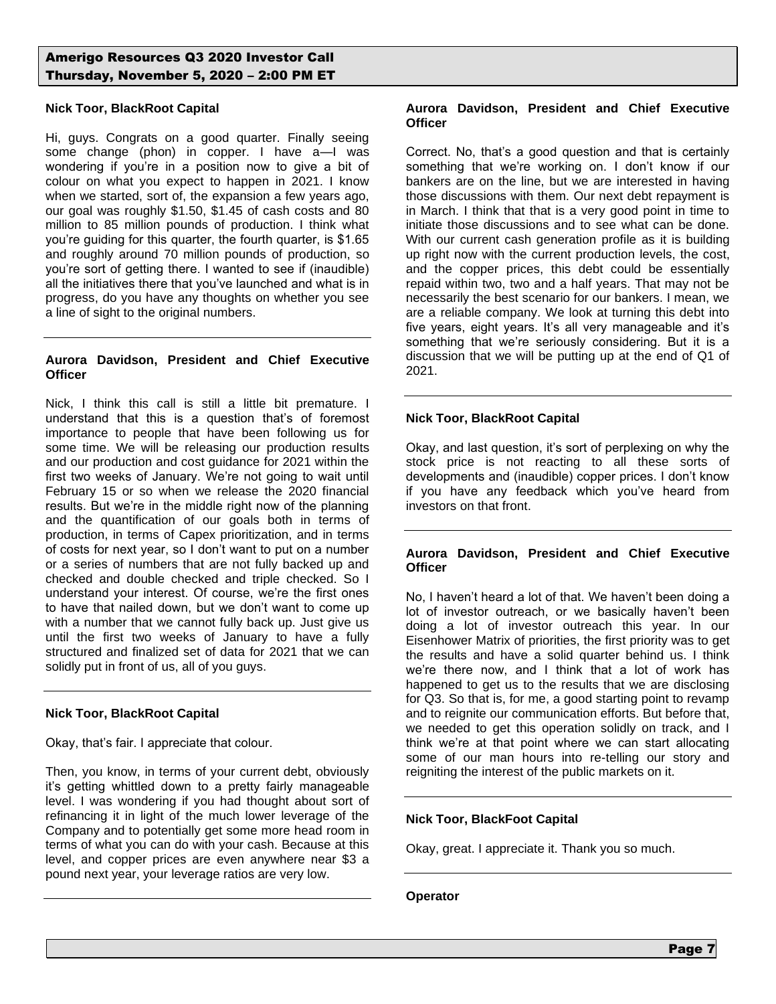## **Nick Toor, BlackRoot Capital**

Hi, guys. Congrats on a good quarter. Finally seeing some change (phon) in copper. I have a—I was wondering if you're in a position now to give a bit of colour on what you expect to happen in 2021. I know when we started, sort of, the expansion a few years ago, our goal was roughly \$1.50, \$1.45 of cash costs and 80 million to 85 million pounds of production. I think what you're guiding for this quarter, the fourth quarter, is \$1.65 and roughly around 70 million pounds of production, so you're sort of getting there. I wanted to see if (inaudible) all the initiatives there that you've launched and what is in progress, do you have any thoughts on whether you see a line of sight to the original numbers.

## **Aurora Davidson, President and Chief Executive Officer**

Nick, I think this call is still a little bit premature. I understand that this is a question that's of foremost importance to people that have been following us for some time. We will be releasing our production results and our production and cost guidance for 2021 within the first two weeks of January. We're not going to wait until February 15 or so when we release the 2020 financial results. But we're in the middle right now of the planning and the quantification of our goals both in terms of production, in terms of Capex prioritization, and in terms of costs for next year, so I don't want to put on a number or a series of numbers that are not fully backed up and checked and double checked and triple checked. So I understand your interest. Of course, we're the first ones to have that nailed down, but we don't want to come up with a number that we cannot fully back up. Just give us until the first two weeks of January to have a fully structured and finalized set of data for 2021 that we can solidly put in front of us, all of you guys.

### **Nick Toor, BlackRoot Capital**

Okay, that's fair. I appreciate that colour.

Then, you know, in terms of your current debt, obviously it's getting whittled down to a pretty fairly manageable level. I was wondering if you had thought about sort of refinancing it in light of the much lower leverage of the Company and to potentially get some more head room in terms of what you can do with your cash. Because at this level, and copper prices are even anywhere near \$3 a pound next year, your leverage ratios are very low.

### **Aurora Davidson, President and Chief Executive Officer**

Correct. No, that's a good question and that is certainly something that we're working on. I don't know if our bankers are on the line, but we are interested in having those discussions with them. Our next debt repayment is in March. I think that that is a very good point in time to initiate those discussions and to see what can be done. With our current cash generation profile as it is building up right now with the current production levels, the cost, and the copper prices, this debt could be essentially repaid within two, two and a half years. That may not be necessarily the best scenario for our bankers. I mean, we are a reliable company. We look at turning this debt into five years, eight years. It's all very manageable and it's something that we're seriously considering. But it is a discussion that we will be putting up at the end of Q1 of 2021.

## **Nick Toor, BlackRoot Capital**

Okay, and last question, it's sort of perplexing on why the stock price is not reacting to all these sorts of developments and (inaudible) copper prices. I don't know if you have any feedback which you've heard from investors on that front.

## **Aurora Davidson, President and Chief Executive Officer**

No, I haven't heard a lot of that. We haven't been doing a lot of investor outreach, or we basically haven't been doing a lot of investor outreach this year. In our Eisenhower Matrix of priorities, the first priority was to get the results and have a solid quarter behind us. I think we're there now, and I think that a lot of work has happened to get us to the results that we are disclosing for Q3. So that is, for me, a good starting point to revamp and to reignite our communication efforts. But before that, we needed to get this operation solidly on track, and I think we're at that point where we can start allocating some of our man hours into re-telling our story and reigniting the interest of the public markets on it.

# **Nick Toor, BlackFoot Capital**

Okay, great. I appreciate it. Thank you so much.

### **Operator**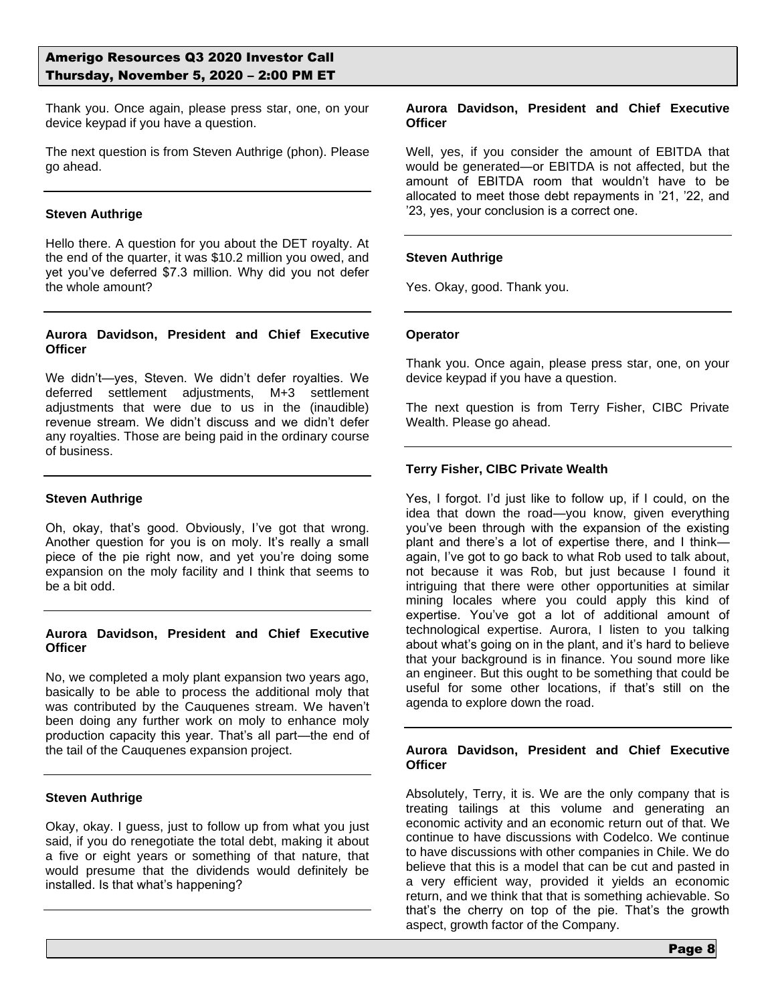Thank you. Once again, please press star, one, on your device keypad if you have a question.

The next question is from Steven Authrige (phon). Please go ahead.

### **Steven Authrige**

Hello there. A question for you about the DET royalty. At the end of the quarter, it was \$10.2 million you owed, and yet you've deferred \$7.3 million. Why did you not defer the whole amount?

### **Aurora Davidson, President and Chief Executive Officer**

We didn't—yes, Steven. We didn't defer royalties. We deferred settlement adjustments, M+3 settlement adjustments that were due to us in the (inaudible) revenue stream. We didn't discuss and we didn't defer any royalties. Those are being paid in the ordinary course of business.

## **Steven Authrige**

Oh, okay, that's good. Obviously, I've got that wrong. Another question for you is on moly. It's really a small piece of the pie right now, and yet you're doing some expansion on the moly facility and I think that seems to be a bit odd.

### **Aurora Davidson, President and Chief Executive Officer**

No, we completed a moly plant expansion two years ago, basically to be able to process the additional moly that was contributed by the Cauquenes stream. We haven't been doing any further work on moly to enhance moly production capacity this year. That's all part—the end of the tail of the Cauquenes expansion project.

### **Steven Authrige**

Okay, okay. I guess, just to follow up from what you just said, if you do renegotiate the total debt, making it about a five or eight years or something of that nature, that would presume that the dividends would definitely be installed. Is that what's happening?

### **Aurora Davidson, President and Chief Executive Officer**

Well, yes, if you consider the amount of EBITDA that would be generated—or EBITDA is not affected, but the amount of EBITDA room that wouldn't have to be allocated to meet those debt repayments in '21, '22, and '23, yes, your conclusion is a correct one.

## **Steven Authrige**

Yes. Okay, good. Thank you.

### **Operator**

Thank you. Once again, please press star, one, on your device keypad if you have a question.

The next question is from Terry Fisher, CIBC Private Wealth. Please go ahead.

## **Terry Fisher, CIBC Private Wealth**

Yes, I forgot. I'd just like to follow up, if I could, on the idea that down the road—you know, given everything you've been through with the expansion of the existing plant and there's a lot of expertise there, and I think again, I've got to go back to what Rob used to talk about, not because it was Rob, but just because I found it intriguing that there were other opportunities at similar mining locales where you could apply this kind of expertise. You've got a lot of additional amount of technological expertise. Aurora, I listen to you talking about what's going on in the plant, and it's hard to believe that your background is in finance. You sound more like an engineer. But this ought to be something that could be useful for some other locations, if that's still on the agenda to explore down the road.

### **Aurora Davidson, President and Chief Executive Officer**

Absolutely, Terry, it is. We are the only company that is treating tailings at this volume and generating an economic activity and an economic return out of that. We continue to have discussions with Codelco. We continue to have discussions with other companies in Chile. We do believe that this is a model that can be cut and pasted in a very efficient way, provided it yields an economic return, and we think that that is something achievable. So that's the cherry on top of the pie. That's the growth aspect, growth factor of the Company.